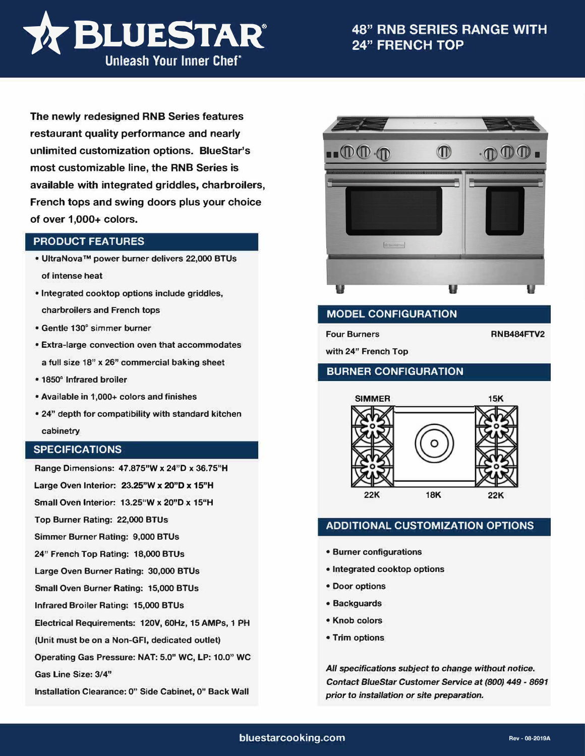

**The newly redesigned RNB Series features restaurant quality performance and nearly unlimited customization options. BlueStar's most customizable line, the RNB Series is available with integrated griddles, charbroilers, French tops and swing doors plus your choice of over 1,000+ colors.** 

### **PRODUCT FEATURES**

- **• UltraNova™ power burner delivers 22,000 BTUs of intense heat**
- **• Integrated cooktop options include griddles, charbroilers and French tops**
- **• Gentle 130° simmer burner**
- **• Extra-large convection oven that accommodates a full size 18" x 26" commercial baking sheet**
- **• 1850° Infrared broiler**
- **• Available in 1,000+ colors and finishes**
- **• 24" depth for compatibility with standard kitchen cabinetry**

### **SPECIFICATIONS**

**Range Dimensions: 47.875"W x 24"D x 36.75"H** 

**Large Oven Interior: 23.25"W x 20"D x 15"H** 

**Small Oven Interior: 13.25"W x 20"D x 15"H** 

**Top Burner Rating: 22,000 BTUs** 

**Simmer Burner Rating: 9,000 BTUs** 

**24" French Top Rating: 18,000 BTUs** 

**Large Oven Burner Rating: 30,000 BTUs** 

**Small Oven Burner Rating: 15,000 BTUs** 

**Infrared Broiler Rating: 15,000 BTUs** 

**Electrical Requirements: 120V, 60Hz, 15 AMPs, 1 PH** 

**(Unit must be on a Non-GFI, dedicated outlet)** 

**Operating Gas Pressure: NAT: 5.0" WC, LP: 10.0" WC** 

**Gas Line Size: 3/4"** 

**Installation Clearance: 0" Side Cabinet, O" Back Wall** 



# **MODEL CONFIGURATION**

**Four Burners RNB484FTV2** 

**with 24" French Top** 

## **BURNER CONFIGURATION**



# **ADDITIONAL CUSTOMIZATION OPTIONS**

- **• Burner configurations**
- **• Integrated cooktop options**
- **• Door options**
- **• Backguards**
- **• Knob colors**
- **• Trim options**

*All specifications subject to change without* **notice.**  *Contact BlueStar Customer Service at (800) 449 - 8691 prior to installation or site preparation.*